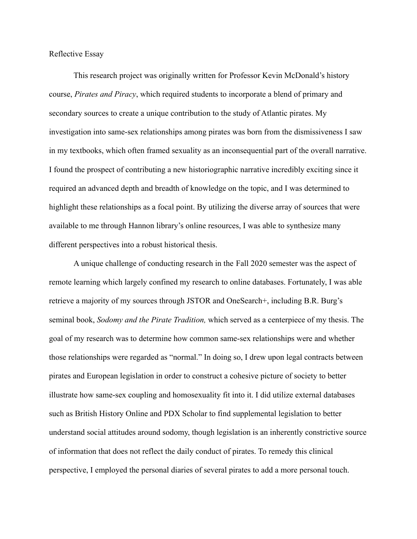Reflective Essay

This research project was originally written for Professor Kevin McDonald's history course, *Pirates and Piracy*, which required students to incorporate a blend of primary and secondary sources to create a unique contribution to the study of Atlantic pirates. My investigation into same-sex relationships among pirates was born from the dismissiveness I saw in my textbooks, which often framed sexuality as an inconsequential part of the overall narrative. I found the prospect of contributing a new historiographic narrative incredibly exciting since it required an advanced depth and breadth of knowledge on the topic, and I was determined to highlight these relationships as a focal point. By utilizing the diverse array of sources that were available to me through Hannon library's online resources, I was able to synthesize many different perspectives into a robust historical thesis.

A unique challenge of conducting research in the Fall 2020 semester was the aspect of remote learning which largely confined my research to online databases. Fortunately, I was able retrieve a majority of my sources through JSTOR and OneSearch+, including B.R. Burg's seminal book, *Sodomy and the Pirate Tradition,* which served as a centerpiece of my thesis. The goal of my research was to determine how common same-sex relationships were and whether those relationships were regarded as "normal." In doing so, I drew upon legal contracts between pirates and European legislation in order to construct a cohesive picture of society to better illustrate how same-sex coupling and homosexuality fit into it. I did utilize external databases such as British History Online and PDX Scholar to find supplemental legislation to better understand social attitudes around sodomy, though legislation is an inherently constrictive source of information that does not reflect the daily conduct of pirates. To remedy this clinical perspective, I employed the personal diaries of several pirates to add a more personal touch.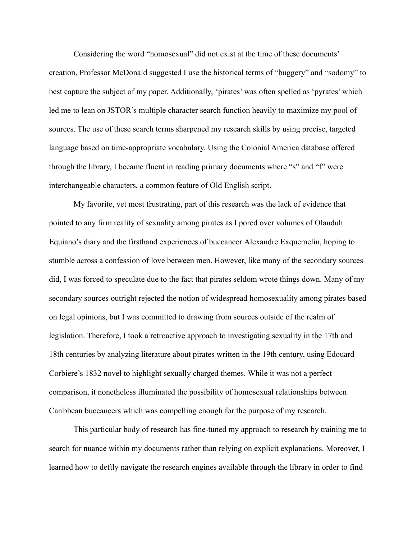Considering the word "homosexual" did not exist at the time of these documents' creation, Professor McDonald suggested I use the historical terms of "buggery" and "sodomy" to best capture the subject of my paper. Additionally, 'pirates' was often spelled as 'pyrates' which led me to lean on JSTOR's multiple character search function heavily to maximize my pool of sources. The use of these search terms sharpened my research skills by using precise, targeted language based on time-appropriate vocabulary. Using the Colonial America database offered through the library, I became fluent in reading primary documents where "s" and "f" were interchangeable characters, a common feature of Old English script.

My favorite, yet most frustrating, part of this research was the lack of evidence that pointed to any firm reality of sexuality among pirates as I pored over volumes of Olauduh Equiano's diary and the firsthand experiences of buccaneer Alexandre Exquemelin, hoping to stumble across a confession of love between men. However, like many of the secondary sources did, I was forced to speculate due to the fact that pirates seldom wrote things down. Many of my secondary sources outright rejected the notion of widespread homosexuality among pirates based on legal opinions, but I was committed to drawing from sources outside of the realm of legislation. Therefore, I took a retroactive approach to investigating sexuality in the 17th and 18th centuries by analyzing literature about pirates written in the 19th century, using Edouard Corbiere's 1832 novel to highlight sexually charged themes. While it was not a perfect comparison, it nonetheless illuminated the possibility of homosexual relationships between Caribbean buccaneers which was compelling enough for the purpose of my research.

This particular body of research has fine-tuned my approach to research by training me to search for nuance within my documents rather than relying on explicit explanations. Moreover, I learned how to deftly navigate the research engines available through the library in order to find